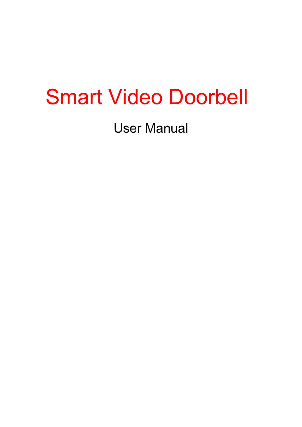# Smart Video Doorbell

User Manual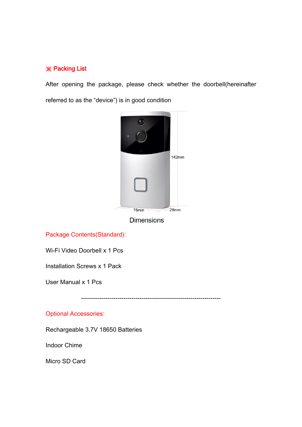#### ※ Packing List

After opening the package, please check whether the doorbell(hereinafter referred to as the "device") is in good condition



**Dimensions** 

Package Contents(Standard):

Wi-Fi Video Doorbell x 1 Pcs

Installation Screws x 1 Pack

User Manual x 1 Pcs

---------------------------------------------------------------------

#### Optional Accessories:

Rechargeable 3.7V 18650 Batteries

Indoor Chime

Micro SD Card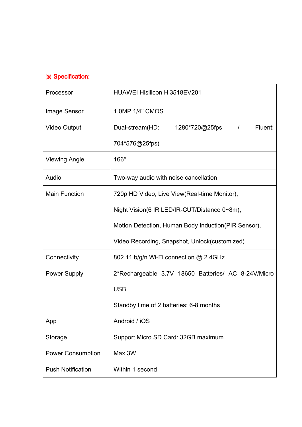# ※ Specification:

| Processor                | HUAWEI Hisilicon Hi3518EV201                         |  |
|--------------------------|------------------------------------------------------|--|
| Image Sensor             | 1.0MP 1/4" CMOS                                      |  |
| <b>Video Output</b>      | 1280*720@25fps   /<br>Fluent:<br>Dual-stream(HD:     |  |
|                          | 704*576@25fps)                                       |  |
| <b>Viewing Angle</b>     | $166^\circ$                                          |  |
| Audio                    | Two-way audio with noise cancellation                |  |
| <b>Main Function</b>     | 720p HD Video, Live View (Real-time Monitor),        |  |
|                          | Night Vision(6 IR LED/IR-CUT/Distance 0~8m),         |  |
|                          | Motion Detection, Human Body Induction (PIR Sensor), |  |
|                          | Video Recording, Snapshot, Unlock(customized)        |  |
| Connectivity             | 802.11 b/g/n Wi-Fi connection @ 2.4GHz               |  |
| <b>Power Supply</b>      | 2*Rechargeable 3.7V 18650 Batteries/ AC 8-24V/Micro  |  |
|                          | <b>USB</b>                                           |  |
|                          | Standby time of 2 batteries: 6-8 months              |  |
| App                      | Android / iOS                                        |  |
| Storage                  | Support Micro SD Card: 32GB maximum                  |  |
| <b>Power Consumption</b> | Max 3W                                               |  |
| <b>Push Notification</b> | Within 1 second                                      |  |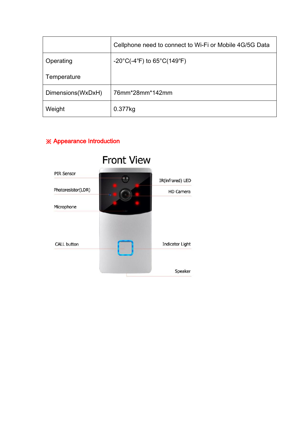|                   | Cellphone need to connect to Wi-Fi or Mobile 4G/5G Data               |
|-------------------|-----------------------------------------------------------------------|
| Operating         | $-20^{\circ}$ C(-4 $^{\circ}$ F) to 65 $^{\circ}$ C(149 $^{\circ}$ F) |
| Temperature       |                                                                       |
| Dimensions(WxDxH) | 76mm*28mm*142mm                                                       |
| Weight            | 0.377kg                                                               |

# ※ Appearance Introduction

|                    | <b>Front View</b> |                        |
|--------------------|-------------------|------------------------|
| <b>PIR Sensor</b>  |                   | IR(infrared) LED       |
| Photoresistor(LDR) | c.                | <b>HD Camera</b>       |
| Microphone         |                   |                        |
| <b>CALL button</b> |                   | <b>Indicator Light</b> |
|                    |                   | Speaker                |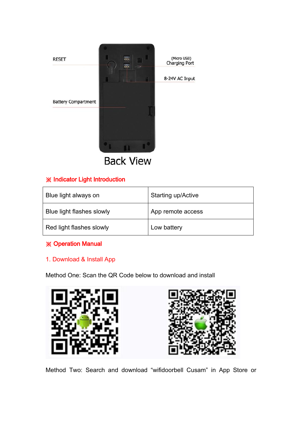

**Back View** 

## ※ Indicator Light Introduction

| Blue light always on      | <b>Starting up/Active</b> |
|---------------------------|---------------------------|
| Blue light flashes slowly | App remote access         |
| Red light flashes slowly  | Low battery               |

## ※ Operation Manual

#### 1. Download & Install App

Method One: Scan the QR Code below to download and install





Method Two: Search and download "wifidoorbell Cusam" in App Store or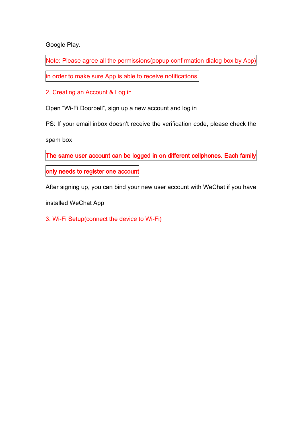Google Play.

Note: Please agree all the permissions(popup confirmation dialog box by App)

in order to make sure App is able to receive notifications.

2. Creating an Account & Log in

Open "Wi-Fi Doorbell", sign up a new account and log in

PS: If your email inbox doesn't receive the verification code, please check the

spam box

The same user account can be logged in on different cellphones. Each family

only needs to register one account

After signing up, you can bind your new user account with WeChat if you have

installed WeChat App

3. Wi-Fi Setup(connect the device to Wi-Fi)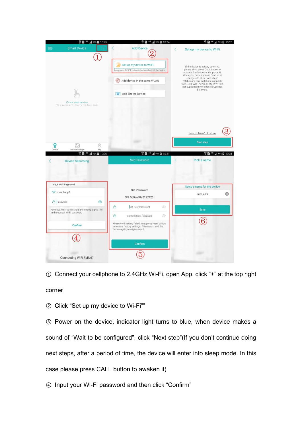

① Connect your cellphone to 2.4GHz Wi-Fi, open App, click "+" at the top right corner

② Click "Set up my device to Wi-Fi""

③ Power on the device, indicator light turns to blue, when device makes a sound of "Wait to be configured", click "Next step"(If you don't continue doing next steps, after a period of time, the device will enter into sleep mode. In this case please press CALL button to awaken it)

④ Input your Wi-Fi password and then click "Confirm"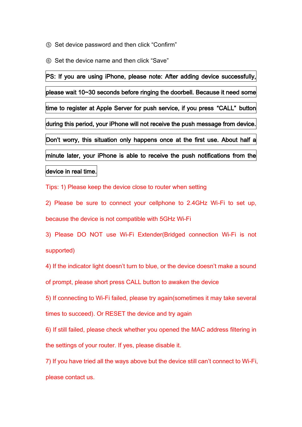⑤ Set device password and then click "Confirm"

⑥ Set the device name and then click "Save"

PS: If you are using iPhone, please note: After adding device successfully, please wait 10~30 seconds before ringing the doorbell. Because it need some time to register at Apple Server for push service, if you press "CALL" button during this period, your iPhone will not receive the push message from device. Don't worry, this situation only happens once at the first use. About half a minute later, your iPhone is able to receive the push notifications from the device in real time.

Tips: 1) Please keep the device close to router when setting

2) Please be sure to connect your cellphone to 2.4GHz Wi-Fi to set up, because the device is not compatible with 5GHz Wi-Fi

3) Please DO NOT use Wi-Fi Extender(Bridged connection Wi-Fi is not supported)

4) If the indicator light doesn't turn to blue, or the device doesn't make a sound

of prompt, please short press CALL button to awaken the device

5) If connecting to Wi-Fi failed, please try again(sometimes it may take several

times to succeed). Or RESET the device and try again

6) If still failed, please check whether you opened the MAC address filtering in the settings of your router. If yes, please disable it.

7) If you have tried all the ways above but the device still can't connect to Wi-Fi, please contact us.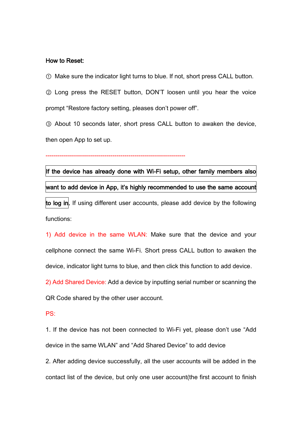#### How to Reset:

① Make sure the indicator light turns to blue. If not, short press CALL button.

② Long press the RESET button, DON'T loosen until you hear the voice prompt "Restore factory setting, pleases don't power off".

③ About 10 seconds later, short press CALL button to awaken the device, then open App to set up.

#### ---------------------------------------------------------------------

# If the device has already done with Wi-Fi setup, other family members also want to add device in App, it's highly recommended to use the same account

to log in. If using different user accounts, please add device by the following functions:

1) Add device in the same WLAN: Make sure that the device and your cellphone connect the same Wi-Fi. Short press CALL button to awaken the device, indicator light turns to blue, and then click this function to add device.

2) Add Shared Device: Add a device by inputting serial number or scanning the

QR Code shared by the other user account.

#### PS:

1. If the device has not been connected to Wi-Fi yet, please don't use "Add device in the same WLAN" and "Add Shared Device" to add device

2. After adding device successfully, all the user accounts will be added in the contact list of the device, but only one user account(the first account to finish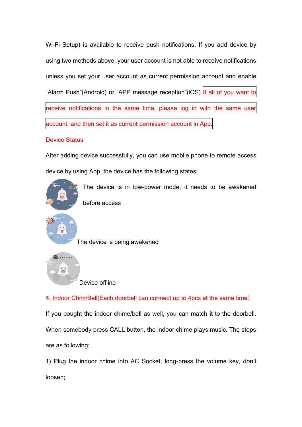Wi-Fi Setup) is available to receive push notifications. If you add device by using two methods above, your user account is not able to receive notifications unless you set your user account as current permission account and enable "Alarm Push"(Android) or "APP message reception"(iOS). If all of you want to receive notifications in the same time, please log in with the same user account, and then set it as current permission account in App.

#### Device Status

After adding device successfully, you can use mobile phone to remote access device by using App, the device has the following states:



Device offline

4. Indoor Chim/Bell(Each doorbell can connect up to 4pcs at the same time)

If you bought the indoor chime/bell as well, you can match it to the doorbell. When somebody press CALL button, the indoor chime plays music. The steps are as following:

1) Plug the indoor chime into AC Socket, long-press the volume key, don't loosen;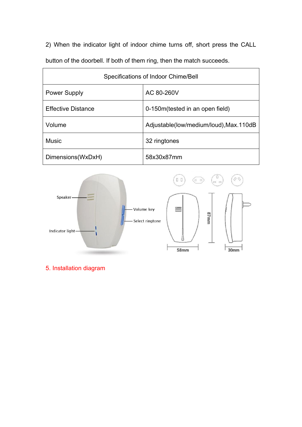2) When the indicator light of indoor chime turns off, short press the CALL button of the doorbell. If both of them ring, then the match succeeds.

| Specifications of Indoor Chime/Bell |                                         |  |  |
|-------------------------------------|-----------------------------------------|--|--|
| <b>Power Supply</b>                 | AC 80-260V                              |  |  |
| <b>Effective Distance</b>           | 0-150m (tested in an open field)        |  |  |
| Volume                              | Adjustable(low/medium/loud), Max. 110dB |  |  |
| <b>Music</b>                        | 32 ringtones                            |  |  |
| Dimensions(WxDxH)                   | 58x30x87mm                              |  |  |



5. Installation diagram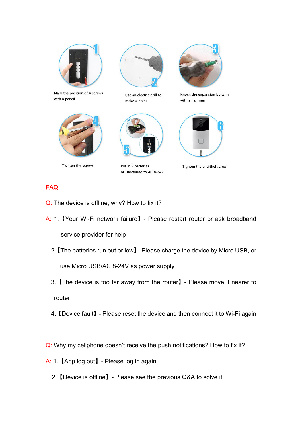

Mark the position of 4 screws with a pencil



Tighten the screws





Put in 2 batteries or Hardwired to AC 8-24V



Knock the expansion bolts in with a hammer



Tighten the anti-theft crew

# FAQ

- Q: The device is offline, why? How to fix it?
- A: 1.【Your Wi-Fi network failure】- Please restart router or ask broadband service provider for help
	- 2.【The batteries run out or low】- Please charge the device by Micro USB, or use Micro USB/AC 8-24V as power supply
	- 3.【The device is too far away from the router】- Please move it nearer to router
	- 4.【Device fault】- Please reset the device and then connect it to Wi-Fi again
- Q: Why my cellphone doesn't receive the push notifications? How to fix it?
- A: 1.【App log out】- Please log in again
	- 2.【Device is offline】- Please see the previous Q&A to solve it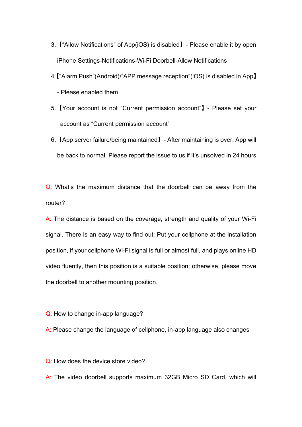- 3.【"Allow Notifications" of App(iOS) is disabled】- Please enable it by open iPhone Settings-Notifications-Wi-Fi Doorbell-Allow Notifications
- 4.【"Alarm Push"(Android)/"APP message reception"(iOS) is disabled in App】
	- Please enabled them
- 5.【Your account is not "Current permission account"】- Please set your account as "Current permission account"
- 6.【App server failure/being maintained】- After maintaining is over, App will be back to normal. Please report the issue to us if it's unsolved in 24 hours

Q: What's the maximum distance that the doorbell can be away from the router?

A: The distance is based on the coverage, strength and quality of your Wi-Fi signal. There is an easy way to find out: Put your cellphone at the installation position, if your cellphone Wi-Fi signal is full or almost full, and plays online HD video fluently, then this position is a suitable position; otherwise, please move the doorbell to another mounting position.

Q: How to change in-app language?

A: Please change the language of cellphone, in-app language also changes

Q: How does the device store video?

A: The video doorbell supports maximum 32GB Micro SD Card, which will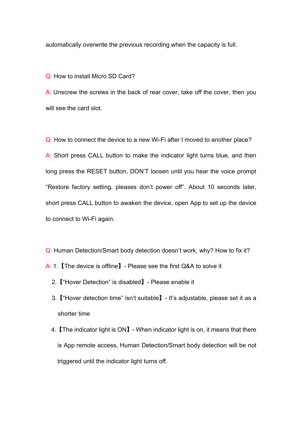automatically overwrite the previous recording when the capacity is full.

Q: How to install Micro SD Card?

A: Unscrew the screws in the back of rear cover, take off the cover, then you will see the card slot.

Q: How to connect the device to a new Wi-Fi after I moved to another place? A: Short press CALL button to make the indicator light turns blue, and then long press the RESET button, DON'T loosen until you hear the voice prompt "Restore factory setting, pleases don't power off". About 10 seconds later, short press CALL button to awaken the device, open App to set up the device to connect to Wi-Fi again.

Q: Human Detection/Smart body detection doesn't work, why? How to fix it?

- A: 1.【The device is offline】- Please see the first Q&A to solve it
	- 2.【"Hover Detection" is disabled】- Please enable it
	- 3.【"Hover detection time" isn't suitable】- It's adjustable, please set it as a shorter time
	- 4.【The indicator light is ON】- When indicator light is on, it means that there is App remote access, Human Detection/Smart body detection will be not triggered until the indicator light turns off.